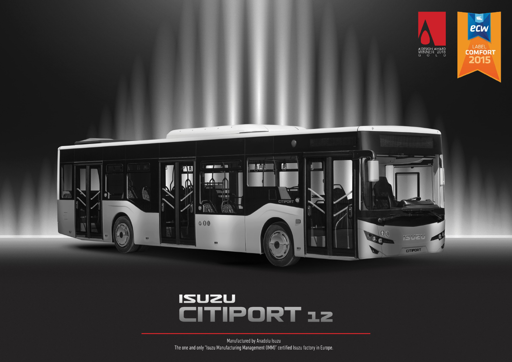



## **ISUZU ITIPORT 12**  $\sqrt{1}$

Manufactured by Anadolu Isuzu The one and only "Isuzu Manufacturing Management (IMM)" certified Isuzu factory in Europe.